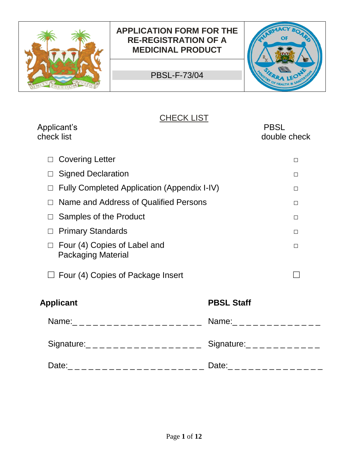

PBSL-F-73/04



## **CHECK LIST**

| Applicant's<br>check list                                                                                                                                                                                                                                                                                               |                                       | <b>PBSL</b><br>double check       |
|-------------------------------------------------------------------------------------------------------------------------------------------------------------------------------------------------------------------------------------------------------------------------------------------------------------------------|---------------------------------------|-----------------------------------|
| <b>Covering Letter</b>                                                                                                                                                                                                                                                                                                  |                                       | $\Box$                            |
| <b>Signed Declaration</b>                                                                                                                                                                                                                                                                                               |                                       | $\Box$                            |
| Fully Completed Application (Appendix I-IV)                                                                                                                                                                                                                                                                             |                                       | П                                 |
| Name and Address of Qualified Persons                                                                                                                                                                                                                                                                                   |                                       | $\Box$                            |
| Samples of the Product                                                                                                                                                                                                                                                                                                  |                                       | □                                 |
| <b>Primary Standards</b>                                                                                                                                                                                                                                                                                                |                                       | □                                 |
| Four (4) Copies of Label and<br><b>Packaging Material</b>                                                                                                                                                                                                                                                               |                                       | $\Box$                            |
| Four (4) Copies of Package Insert                                                                                                                                                                                                                                                                                       |                                       |                                   |
| <b>Applicant</b>                                                                                                                                                                                                                                                                                                        | <b>PBSL Staff</b>                     |                                   |
| Name:<br>$\frac{1}{2}$ $\frac{1}{2}$ $\frac{1}{2}$ $\frac{1}{2}$ $\frac{1}{2}$ $\frac{1}{2}$ $\frac{1}{2}$ $\frac{1}{2}$ $\frac{1}{2}$ $\frac{1}{2}$ $\frac{1}{2}$ $\frac{1}{2}$ $\frac{1}{2}$ $\frac{1}{2}$ $\frac{1}{2}$ $\frac{1}{2}$ $\frac{1}{2}$ $\frac{1}{2}$ $\frac{1}{2}$ $\frac{1}{2}$ $\frac{1}{2}$ $\frac{$ |                                       |                                   |
| Signature:<br>$------------------$                                                                                                                                                                                                                                                                                      | Signature:<br>$-$ - - - - - - - - - - |                                   |
| Date:<br>---------------------                                                                                                                                                                                                                                                                                          |                                       | Date: _ _ _ _ _ _ _ _ _ _ _ _ _ _ |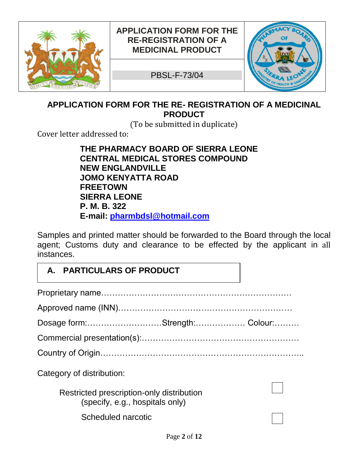

PBSL-F-73/04



### **APPLICATION FORM FOR THE RE- REGISTRATION OF A MEDICINAL PRODUCT**

(To be submitted in duplicate)

Cover letter addressed to:

**THE PHARMACY BOARD OF SIERRA LEONE CENTRAL MEDICAL STORES COMPOUND NEW ENGLANDVILLE JOMO KENYATTA ROAD FREETOWN SIERRA LEONE P. M. B. 322 E-mail: [pharmbdsl@hotmail.com](mailto:pharmbdsl@hotmail.com)** 

Samples and printed matter should be forwarded to the Board through the local agent; Customs duty and clearance to be effected by the applicant in all instances.

#### **A. PARTICULARS OF PRODUCT**

| Dosage form:Strength:Colour:                                                 |  |
|------------------------------------------------------------------------------|--|
|                                                                              |  |
|                                                                              |  |
| Category of distribution:                                                    |  |
| Restricted prescription-only distribution<br>(specify, e.g., hospitals only) |  |
| Scheduled narcotic                                                           |  |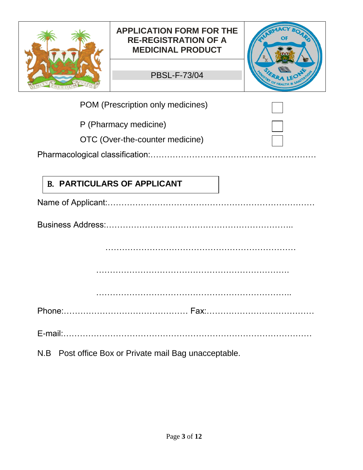|     | <b>APPLICATION FORM FOR THE</b><br><b>RE-REGISTRATION OF A</b><br><b>MEDICINAL PRODUCT</b> |  |  |
|-----|--------------------------------------------------------------------------------------------|--|--|
|     | <b>PBSL-F-73/04</b>                                                                        |  |  |
|     | POM (Prescription only medicines)                                                          |  |  |
|     | P (Pharmacy medicine)                                                                      |  |  |
|     | OTC (Over-the-counter medicine)                                                            |  |  |
|     |                                                                                            |  |  |
|     |                                                                                            |  |  |
|     | <b>B. PARTICULARS OF APPLICANT</b>                                                         |  |  |
|     |                                                                                            |  |  |
|     |                                                                                            |  |  |
|     |                                                                                            |  |  |
|     |                                                                                            |  |  |
|     |                                                                                            |  |  |
|     |                                                                                            |  |  |
|     |                                                                                            |  |  |
|     |                                                                                            |  |  |
|     |                                                                                            |  |  |
|     |                                                                                            |  |  |
| N.B | Post office Box or Private mail Bag unacceptable.                                          |  |  |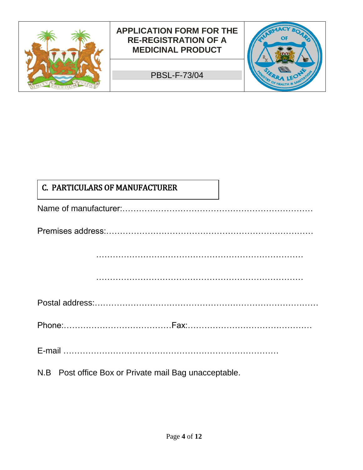

PBSL-F-73/04



## C. PARTICULARS OF MANUFACTURER

| <u> La construcción de la construcción de la construcción de la construcción de la construcción de la construcción de la construcción de la construcción de la construcción de la construcción de la construcción de la construc</u> |
|--------------------------------------------------------------------------------------------------------------------------------------------------------------------------------------------------------------------------------------|
|                                                                                                                                                                                                                                      |
|                                                                                                                                                                                                                                      |
|                                                                                                                                                                                                                                      |
|                                                                                                                                                                                                                                      |
|                                                                                                                                                                                                                                      |
|                                                                                                                                                                                                                                      |
|                                                                                                                                                                                                                                      |
|                                                                                                                                                                                                                                      |
| N.B Post office Box or Private mail Bag unacceptable.                                                                                                                                                                                |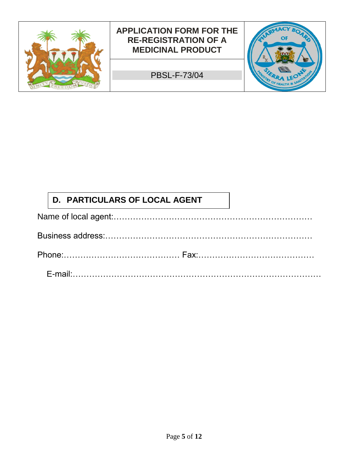

PBSL-F-73/04



# **D. PARTICULARS OF LOCAL AGENT**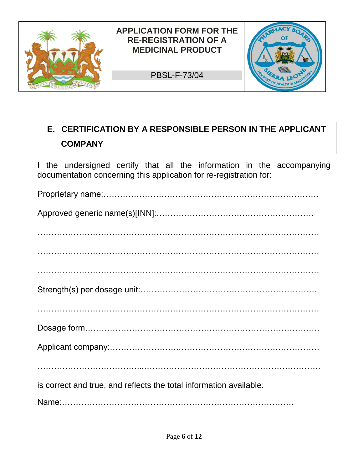

PBSL-F-73/04



#### **Communist Certification E. CERTIFICATION BY A RESPONSIBLE PERSON IN THE APPLICANT COMPANY**

I the undersigned certify that all the information in the accompanying documentation concerning this application for re-registration for:

| is correct and true, and reflects the total information available. |
|--------------------------------------------------------------------|
|                                                                    |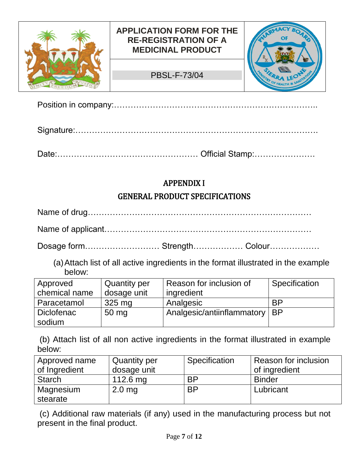

Position in company:………………………………………………………………..

Signature:…………………………………………………………………………….

Date:…………………………………………… Official Stamp:………………….

### APPENDIX I

#### GENERAL PRODUCT SPECIFICATIONS

Name of drug………………………………………………………………………

Name of applicant…………………………………………………………………

Dosage form……………………… Strength……………… Colour………………

(a)Attach list of all active ingredients in the format illustrated in the example below:

| Approved      | <b>Quantity per</b> | Reason for inclusion of         | Specification |
|---------------|---------------------|---------------------------------|---------------|
| chemical name | dosage unit         | ingredient                      |               |
| Paracetamol   | 325 mg              | Analgesic                       | <b>BP</b>     |
| Diclofenac    | $50 \text{ mg}$     | Analgesic/antiinflammatory   BP |               |
| sodium        |                     |                                 |               |

(b) Attach list of all non active ingredients in the format illustrated in example below:

| Approved name | <b>Quantity per</b> | Specification | Reason for inclusion |
|---------------|---------------------|---------------|----------------------|
| of Ingredient | dosage unit         |               | of ingredient        |
| Starch        | 112.6 mg            | <b>BP</b>     | <b>Binder</b>        |
| Magnesium     | $2.0$ mg            | <b>BP</b>     | Lubricant            |
| stearate      |                     |               |                      |

(c) Additional raw materials (if any) used in the manufacturing process but not present in the final product.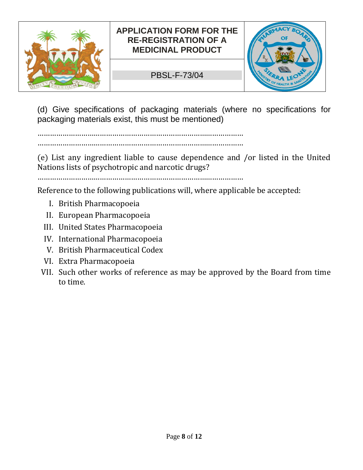

#### PBSL-F-73/04



(d) Give specifications of packaging materials (where no specifications for packaging materials exist, this must be mentioned)

……………………………………………………………………………………… ………………………………………………………………………………………

(e) List any ingredient liable to cause dependence and /or listed in the United Nations lists of psychotropic and narcotic drugs?

………………………………………………………………………………………

Reference to the following publications will, where applicable be accepted:

- I. British Pharmacopoeia
- II. European Pharmacopoeia
- III. United States Pharmacopoeia
- IV. International Pharmacopoeia
- V. British Pharmaceutical Codex
- VI. Extra Pharmacopoeia
- VII. Such other works of reference as may be approved by the Board from time to time.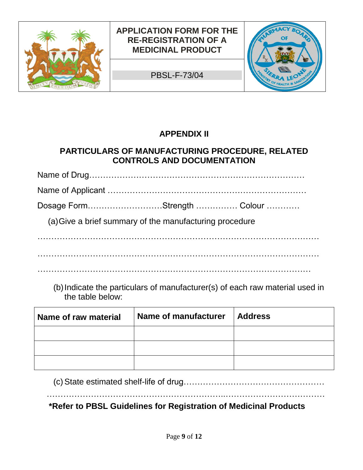

PBSL-F-73/04



## **APPENDIX II**

### **PARTICULARS OF MANUFACTURING PROCEDURE, RELATED CONTROLS AND DOCUMENTATION**

Name of Drug…………………………………………………………………… Name of Applicant ……………………………………………………………… Dosage Form………………………Strength …………… Colour ………… (a)Give a brief summary of the manufacturing procedure ………………………………………………………………………………………… …………………………………………………………………………………………

(b)Indicate the particulars of manufacturer(s) of each raw material used in the table below:

| Name of raw material | Name of manufacturer | <b>Address</b> |
|----------------------|----------------------|----------------|
|                      |                      |                |
|                      |                      |                |
|                      |                      |                |

(c)State estimated shelf-life of drug……………………………………………

………………………………………………………..………………………………

 **\*Refer to PBSL Guidelines for Registration of Medicinal Products**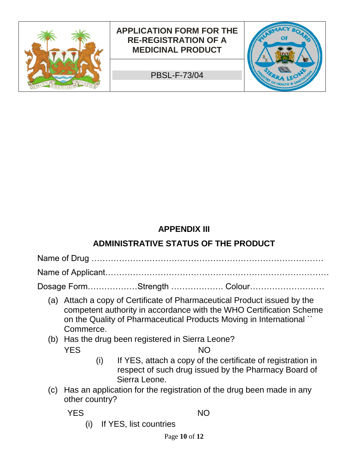

### **APPENDIX III**

## **ADMINISTRATIVE STATUS OF THE PRODUCT**

Name of Drug …………………………………………………………………………

Name of Applicant………………………………………………………………………

Dosage Form………………Strength ………………. Colour………………………

- (a) Attach a copy of Certificate of Pharmaceutical Product issued by the competent authority in accordance with the WHO Certification Scheme on the Quality of Pharmaceutical Products Moving in International `` Commerce.
- (b) Has the drug been registered in Sierra Leone? **YES** NO
	- (i) If YES, attach a copy of the certificate of registration in respect of such drug issued by the Pharmacy Board of Sierra Leone.
- (c) Has an application for the registration of the drug been made in any other country?

**THE SECOND SECOND SECOND SECOND SECOND SECOND SECOND SECOND SECOND SECOND SECOND SECOND SECOND SECOND SECOND SECOND SECOND SECOND SECOND SECOND SECOND SECOND SECOND SECOND SECOND SECOND SECOND SECOND SECOND SECOND SECOND** 

(i) If YES, list countries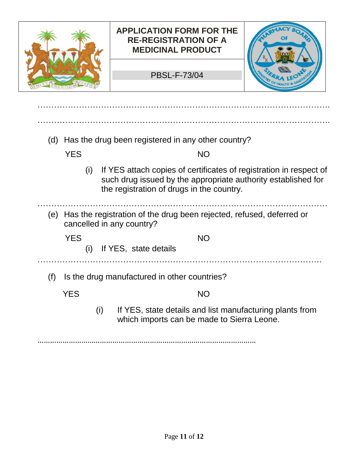